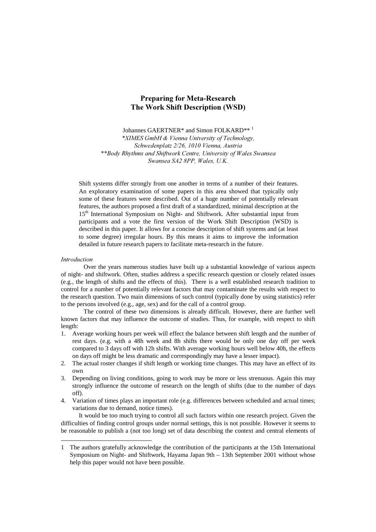# Preparing for Meta-Research The Work Shift Description (WSD)

Johannes GAERTNER\* and Simon FOLKARD\*\*<sup>1</sup> \*XIMES GmbH & Vienna University of Technology, Schwedenplatz 2/26, 1010 Vienna, Austria \*\*Body Rhythms and Shiftwork Centre, University of Wales Swansea Swansea SA2 8PP, Wales, U.K.

Shift systems differ strongly from one another in terms of a number of their features. An exploratory examination of some papers in this area showed that typically only some of these features were described. Out of a huge number of potentially relevant features, the authors proposed a first draft of a standardized, minimal description at the 15<sup>th</sup> International Symposium on Night- and Shiftwork. After substantial input from participants and a vote the first version of the Work Shift Description (WSD) is described in this paper. It allows for a concise description of shift systems and (at least to some degree) irregular hours. By this means it aims to improve the information detailed in future research papers to facilitate meta-research in the future.

# Introduction

 $\overline{a}$ 

Over the years numerous studies have built up a substantial knowledge of various aspects of night- and shiftwork. Often, studies address a specific research question or closely related issues (e.g., the length of shifts and the effects of this). There is a well established research tradition to control for a number of potentially relevant factors that may contaminate the results with respect to the research question. Two main dimensions of such control (typically done by using statistics) refer to the persons involved (e.g., age, sex) and for the call of a control group.

The control of these two dimensions is already difficult. However, there are further well known factors that may influence the outcome of studies. Thus, for example, with respect to shift length:

- 1. Average working hours per week will effect the balance between shift length and the number of rest days. (e.g. with a 48h week and 8h shifts there would be only one day off per week compared to 3 days off with 12h shifts. With average working hours well below 40h, the effects on days off might be less dramatic and correspondingly may have a lesser impact).
- 2. The actual roster changes if shift length or working time changes. This may have an effect of its own
- 3. Depending on living conditions, going to work may be more or less strenuous. Again this may strongly influence the outcome of research on the length of shifts (due to the number of days off).
- 4. Variation of times plays an important role (e.g. differences between scheduled and actual times; variations due to demand, notice times).

It would be too much trying to control all such factors within one research project. Given the difficulties of finding control groups under normal settings, this is not possible. However it seems to be reasonable to publish a (not too long) set of data describing the context and central elements of

<sup>1</sup> The authors gratefully acknowledge the contribution of the participants at the 15th International Symposium on Night- and Shiftwork, Hayama Japan 9th – 13th September 2001 without whose help this paper would not have been possible.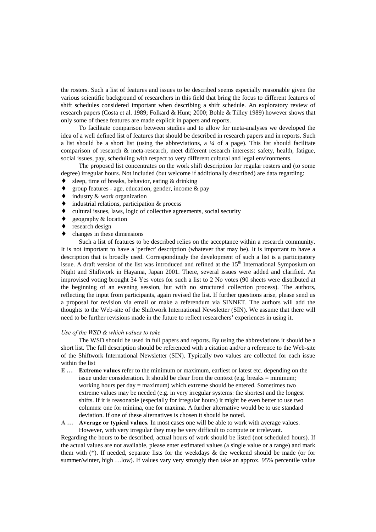the rosters. Such a list of features and issues to be described seems especially reasonable given the various scientific background of researchers in this field that bring the focus to different features of shift schedules considered important when describing a shift schedule. An exploratory review of research papers (Costa et al. 1989; Folkard & Hunt; 2000; Bohle & Tilley 1989) however shows that only some of these features are made explicit in papers and reports.

To facilitate comparison between studies and to allow for meta-analyses we developed the idea of a well defined list of features that should be described in research papers and in reports. Such a list should be a short list (using the abbreviations, a  $\frac{1}{4}$  of a page). This list should facilitate comparison of research & meta-research, meet different research interests: safety, health, fatigue, social issues, pay, scheduling with respect to very different cultural and legal environments.

The proposed list concentrates on the work shift description for regular rosters and (to some degree) irregular hours. Not included (but welcome if additionally described) are data regarding:

- sleep, time of breaks, behavior, eating  $&$  drinking
- group features age, education, gender, income  $\&$  pay
- ♦ industry & work organization
- industrial relations, participation  $&$  process
- cultural issues, laws, logic of collective agreements, social security
- geography  $&$  location
- research design
- $\bullet$  changes in these dimensions

Such a list of features to be described relies on the acceptance within a research community. It is not important to have a 'perfect' description (whatever that may be). It is important to have a description that is broadly used. Correspondingly the development of such a list is a participatory issue. A draft version of the list was introduced and refined at the  $15<sup>th</sup>$  International Symposium on Night and Shiftwork in Hayama, Japan 2001. There, several issues were added and clarified. An improvised voting brought 34 Yes votes for such a list to 2 No votes (90 sheets were distributed at the beginning of an evening session, but with no structured collection process). The authors, reflecting the input from participants, again revised the list. If further questions arise, please send us a proposal for revision via email or make a referendum via SINNET. The authors will add the thoughts to the Web-site of the Shiftwork International Newsletter (SIN). We assume that there will need to be further revisions made in the future to reflect researchers' experiences in using it.

#### Use of the WSD  $\&$  which values to take

The WSD should be used in full papers and reports. By using the abbreviations it should be a short list. The full description should be referenced with a citation and/or a reference to the Web-site of the Shiftwork International Newsletter (SIN). Typically two values are collected for each issue within the list

- E... Extreme values refer to the minimum or maximum, earliest or latest etc. depending on the issue under consideration. It should be clear from the context (e.g. breaks  $=$  minimum; working hours per day = maximum) which extreme should be entered. Sometimes two extreme values may be needed (e.g. in very irregular systems: the shortest and the longest shifts. If it is reasonable (especially for irregular hours) it might be even better to use two columns: one for minima, one for maxima. A further alternative would be to use standard deviation. If one of these alternatives is chosen it should be noted.
- A ... Average or typical values. In most cases one will be able to work with average values. However, with very irregular they may be very difficult to compute or irrelevant.

Regarding the hours to be described, actual hours of work should be listed (not scheduled hours). If the actual values are not available, please enter estimated values (a single value or a range) and mark them with  $(*)$ . If needed, separate lists for the weekdays & the weekend should be made (or for summer/winter, high …low). If values vary very strongly then take an approx. 95% percentile value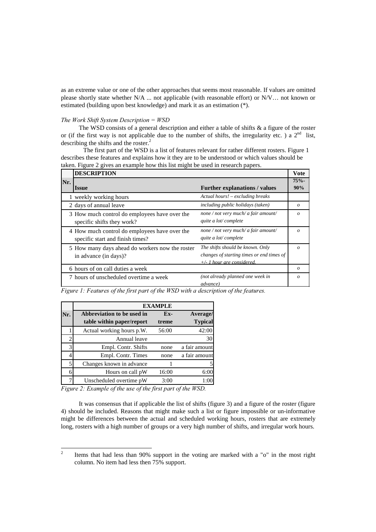as an extreme value or one of the other approaches that seems most reasonable. If values are omitted please shortly state whether N/A ... not applicable (with reasonable effort) or N/V… not known or estimated (building upon best knowledge) and mark it as an estimation (\*).

## The Work Shift System Description =  $WSD$

The WSD consists of a general description and either a table of shifts  $\&$  a figure of the roster or (if the first way is not applicable due to the number of shifts, the irregularity etc.) a  $2^{nd}$  list, describing the shifts and the roster.<sup>2</sup>

The first part of the WSD is a list of features relevant for rather different rosters. Figure 1 describes these features and explains how it they are to be understood or which values should be taken. Figure 2 gives an example how this list might be used in research papers.

|     | <b>DESCRIPTION</b>                              |                                           |                  |  |  |
|-----|-------------------------------------------------|-------------------------------------------|------------------|--|--|
| Nr. |                                                 |                                           |                  |  |  |
|     | <i>Issue</i>                                    | <b>Further explanations / values</b>      | 90%              |  |  |
|     | 1 weekly working hours                          | Actual hours! – excluding breaks          |                  |  |  |
|     | 2 days of annual leave                          | including public holidays (taken)         | $\boldsymbol{o}$ |  |  |
|     | 3 How much control do employees have over the   | none / not very much/ a fair amount/      | $\Omega$         |  |  |
|     | specific shifts they work?                      | quite a lot/complete                      |                  |  |  |
|     | 4 How much control do employees have over the   | none / not very much/ a fair amount/      | $\Omega$         |  |  |
|     | specific start and finish times?                | quite a lot/complete                      |                  |  |  |
|     | 5 How many days ahead do workers now the roster | The shifts should be known. Only          | $\Omega$         |  |  |
|     | in advance (in days)?                           | changes of starting times or end times of |                  |  |  |
|     |                                                 | $+\prime$ - 1 hour are considered.        |                  |  |  |
|     | 6 hours of on call duties a week                |                                           | $\boldsymbol{o}$ |  |  |
|     | 7 hours of unscheduled overtime a week          | (not already planned one week in          | $\Omega$         |  |  |
|     |                                                 | <i>advance</i> )                          |                  |  |  |

Figure 1: Features of the first part of the WSD with a description of the features.

|     | <b>EXAMPLE</b>             |       |                |  |  |
|-----|----------------------------|-------|----------------|--|--|
| Nr. | Abbreviation to be used in | $Ex-$ | Average/       |  |  |
|     | table within paper/report  | treme | <b>Typical</b> |  |  |
|     | Actual working hours p.W.  | 56:00 | 42:00          |  |  |
|     | Annual leave               |       | 30             |  |  |
| 3   | Empl. Contr. Shifts        | none  | a fair amount  |  |  |
|     | Empl. Contr. Times         | none  | a fair amount  |  |  |
| 5   | Changes known in advance   |       |                |  |  |
| 6   | Hours on call pW           | 16:00 | 6:00           |  |  |
| 7   | Unscheduled overtime pW    | 3:00  | 1:0            |  |  |

Figure 2: Example of the use of the first part of the WSD.

It was consensus that if applicable the list of shifts (figure 3) and a figure of the roster (figure 4) should be included. Reasons that might make such a list or figure impossible or un-informative might be differences between the actual and scheduled working hours, rosters that are extremely long, rosters with a high number of groups or a very high number of shifts, and irregular work hours.

 $\frac{1}{2}$  Items that had less than 90% support in the voting are marked with a "o" in the most right column. No item had less then 75% support.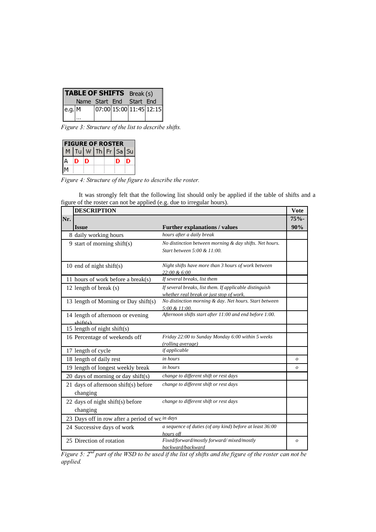|        | <b>TABLE OF SHIFTS</b> Break (s) |                          |  |  |
|--------|----------------------------------|--------------------------|--|--|
|        | Name Start End Start End         |                          |  |  |
| e.g. M |                                  | [07:00]15:00]11:45]12:15 |  |  |

Figure 3: Structure of the list to describe shifts.

| <b>FIGURE OF ROSTER</b> |  |                    |  |  |  |
|-------------------------|--|--------------------|--|--|--|
|                         |  | M Tu W Th Fr Sa Su |  |  |  |
|                         |  |                    |  |  |  |
|                         |  |                    |  |  |  |

 $\overline{\text{Figure 4: Structure of the figure to describe the roster.}}$ 

It was strongly felt that the following list should only be applied if the table of shifts and a figure of the roster can not be applied (e.g. due to irregular hours).

|     | <b>DESCRIPTION</b>                               |                                                                                                     |                  |  |  |
|-----|--------------------------------------------------|-----------------------------------------------------------------------------------------------------|------------------|--|--|
| Nr. |                                                  |                                                                                                     |                  |  |  |
|     | <b>Issue</b>                                     | <b>Further explanations / values</b>                                                                | 90%              |  |  |
|     | 8 daily working hours                            | hours after a daily break                                                                           |                  |  |  |
|     | 9 start of morning shift(s)                      | No distinction between morning & day shifts. Net hours.<br>Start between 5:00 & 11:00.              |                  |  |  |
|     | 10 end of night shift(s)                         | Night shifts have more than 3 hours of work between<br>22:00 & 6:00                                 |                  |  |  |
|     | 11 hours of work before a break $(s)$            | If several breaks, list them                                                                        |                  |  |  |
|     | 12 length of break (s)                           | If several breaks, list them. If applicable distinguish<br>whether real break or just stop of work. |                  |  |  |
|     | 13 length of Morning or Day shift(s)             | No distinction morning & day. Net hours. Start between<br>5:00 & 11:00.                             |                  |  |  |
|     | 14 length of afternoon or evening<br>shift(c)    | Afternoon shifts start after 11:00 and end before 1:00.                                             |                  |  |  |
|     | 15 length of night shift(s)                      |                                                                                                     |                  |  |  |
|     | 16 Percentage of weekends off                    | Friday 22:00 to Sunday Monday 6:00 within 5 weeks<br>(rolling average)                              |                  |  |  |
|     | 17 length of cycle                               | if applicable                                                                                       |                  |  |  |
|     | 18 length of daily rest                          | in hours                                                                                            | $\overline{o}$   |  |  |
|     | 19 length of longest weekly break                | <i>in hours</i>                                                                                     | $\boldsymbol{o}$ |  |  |
|     | 20 days of morning or day shift(s)               | change to different shift or rest days                                                              |                  |  |  |
|     | 21 days of afternoon shift(s) before<br>changing | change to different shift or rest days                                                              |                  |  |  |
|     | 22 days of night shift(s) before<br>changing     | change to different shift or rest days                                                              |                  |  |  |
|     | 23 Days off in row after a period of wo in days  |                                                                                                     |                  |  |  |
|     | 24 Successive days of work                       | a sequence of duties (of any kind) before at least 36:00<br>hours off                               |                  |  |  |
|     | 25 Direction of rotation                         | Fixed/forward/mostly forward/mixed/mostly<br>backward/backward                                      | $\overline{o}$   |  |  |

*backward/backward*<br>Figure 5: 2<sup>nd</sup> part of the WSD to be used if the list of shifts and the figure of the roster can not be applied.